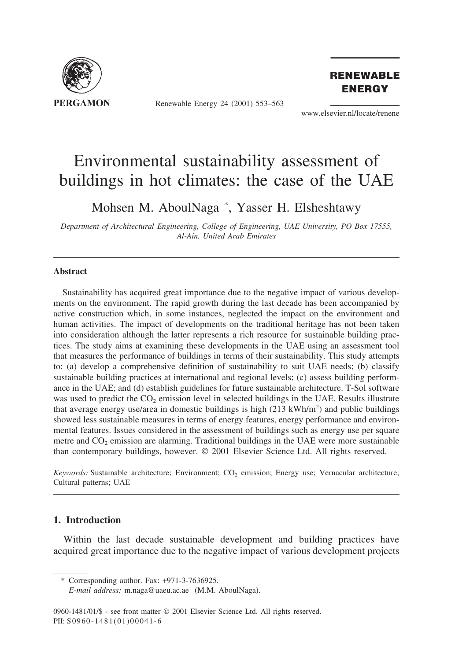

Renewable Energy 24 (2001) 553–563



www.elsevier.nl/locate/renene

## Environmental sustainability assessment of buildings in hot climates: the case of the UAE

Mohsen M. AboulNaga \* , Yasser H. Elsheshtawy

*Department of Architectural Engineering, College of Engineering, UAE University, PO Box 17555, Al-Ain, United Arab Emirates*

## **Abstract**

Sustainability has acquired great importance due to the negative impact of various developments on the environment. The rapid growth during the last decade has been accompanied by active construction which, in some instances, neglected the impact on the environment and human activities. The impact of developments on the traditional heritage has not been taken into consideration although the latter represents a rich resource for sustainable building practices. The study aims at examining these developments in the UAE using an assessment tool that measures the performance of buildings in terms of their sustainability. This study attempts to: (a) develop a comprehensive definition of sustainability to suit UAE needs; (b) classify sustainable building practices at international and regional levels; (c) assess building performance in the UAE; and (d) establish guidelines for future sustainable architecture. T-Sol software was used to predict the  $CO<sub>2</sub>$  emission level in selected buildings in the UAE. Results illustrate that average energy use/area in domestic buildings is high (213 kWh/m<sup>2</sup>) and public buildings showed less sustainable measures in terms of energy features, energy performance and environmental features. Issues considered in the assessment of buildings such as energy use per square metre and  $CO<sub>2</sub>$  emission are alarming. Traditional buildings in the UAE were more sustainable than contemporary buildings, however.  $© 2001$  Elsevier Science Ltd. All rights reserved.

*Keywords:* Sustainable architecture; Environment; CO<sub>2</sub> emission; Energy use; Vernacular architecture; Cultural patterns; UAE

## **1. Introduction**

Within the last decade sustainable development and building practices have acquired great importance due to the negative impact of various development projects

*E-mail address:* m.naga@uaeu.ac.ae (M.M. AboulNaga).

<sup>\*</sup> Corresponding author. Fax: +971-3-7636925.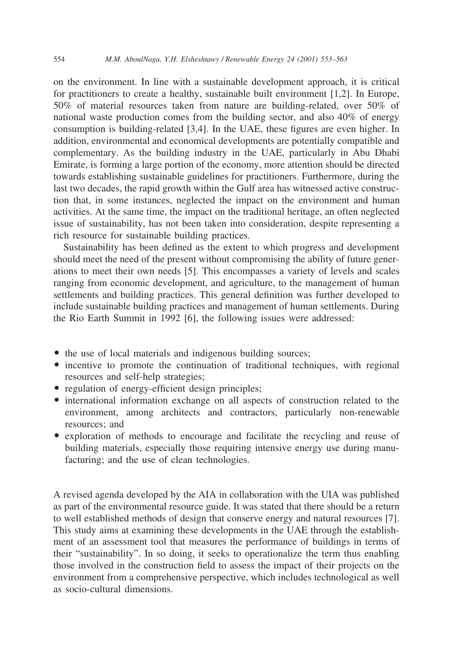on the environment. In line with a sustainable development approach, it is critical for practitioners to create a healthy, sustainable built environment [1,2]. In Europe, 50% of material resources taken from nature are building-related, over 50% of national waste production comes from the building sector, and also 40% of energy consumption is building-related [3,4]. In the UAE, these figures are even higher. In addition, environmental and economical developments are potentially compatible and complementary. As the building industry in the UAE, particularly in Abu Dhabi Emirate, is forming a large portion of the economy, more attention should be directed towards establishing sustainable guidelines for practitioners. Furthermore, during the last two decades, the rapid growth within the Gulf area has witnessed active construction that, in some instances, neglected the impact on the environment and human activities. At the same time, the impact on the traditional heritage, an often neglected issue of sustainability, has not been taken into consideration, despite representing a rich resource for sustainable building practices.

Sustainability has been defined as the extent to which progress and development should meet the need of the present without compromising the ability of future generations to meet their own needs [5]. This encompasses a variety of levels and scales ranging from economic development, and agriculture, to the management of human settlements and building practices. This general definition was further developed to include sustainable building practices and management of human settlements. During the Rio Earth Summit in 1992 [6], the following issues were addressed:

- the use of local materials and indigenous building sources;
- incentive to promote the continuation of traditional techniques, with regional resources and self-help strategies;
- regulation of energy-efficient design principles;
- international information exchange on all aspects of construction related to the environment, among architects and contractors, particularly non-renewable resources; and
- exploration of methods to encourage and facilitate the recycling and reuse of building materials, especially those requiring intensive energy use during manufacturing; and the use of clean technologies.

A revised agenda developed by the AIA in collaboration with the UIA was published as part of the environmental resource guide. It was stated that there should be a return to well established methods of design that conserve energy and natural resources [7]. This study aims at examining these developments in the UAE through the establishment of an assessment tool that measures the performance of buildings in terms of their "sustainability". In so doing, it seeks to operationalize the term thus enabling those involved in the construction field to assess the impact of their projects on the environment from a comprehensive perspective, which includes technological as well as socio-cultural dimensions.